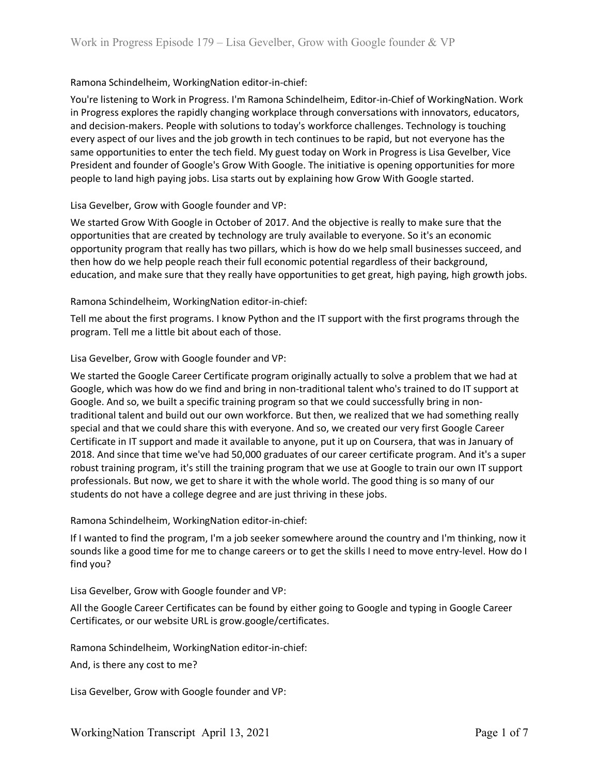# Ramona Schindelheim, WorkingNation editor-in-chief:

You're listening to Work in Progress. I'm Ramona Schindelheim, Editor-in-Chief of WorkingNation. Work in Progress explores the rapidly changing workplace through conversations with innovators, educators, and decision-makers. People with solutions to today's workforce challenges. Technology is touching every aspect of our lives and the job growth in tech continues to be rapid, but not everyone has the same opportunities to enter the tech field. My guest today on Work in Progress is Lisa Gevelber, Vice President and founder of Google's Grow With Google. The initiative is opening opportunities for more people to land high paying jobs. Lisa starts out by explaining how Grow With Google started.

# Lisa Gevelber, Grow with Google founder and VP:

We started Grow With Google in October of 2017. And the objective is really to make sure that the opportunities that are created by technology are truly available to everyone. So it's an economic opportunity program that really has two pillars, which is how do we help small businesses succeed, and then how do we help people reach their full economic potential regardless of their background, education, and make sure that they really have opportunities to get great, high paying, high growth jobs.

## Ramona Schindelheim, WorkingNation editor-in-chief:

Tell me about the first programs. I know Python and the IT support with the first programs through the program. Tell me a little bit about each of those.

## Lisa Gevelber, Grow with Google founder and VP:

We started the Google Career Certificate program originally actually to solve a problem that we had at Google, which was how do we find and bring in non-traditional talent who's trained to do IT support at Google. And so, we built a specific training program so that we could successfully bring in nontraditional talent and build out our own workforce. But then, we realized that we had something really special and that we could share this with everyone. And so, we created our very first Google Career Certificate in IT support and made it available to anyone, put it up on Coursera, that was in January of 2018. And since that time we've had 50,000 graduates of our career certificate program. And it's a super robust training program, it's still the training program that we use at Google to train our own IT support professionals. But now, we get to share it with the whole world. The good thing is so many of our students do not have a college degree and are just thriving in these jobs.

#### Ramona Schindelheim, WorkingNation editor-in-chief:

If I wanted to find the program, I'm a job seeker somewhere around the country and I'm thinking, now it sounds like a good time for me to change careers or to get the skills I need to move entry-level. How do I find you?

#### Lisa Gevelber, Grow with Google founder and VP:

All the Google Career Certificates can be found by either going to Google and typing in Google Career Certificates, or our website URL is grow.google/certificates.

Ramona Schindelheim, WorkingNation editor-in-chief:

And, is there any cost to me?

Lisa Gevelber, Grow with Google founder and VP: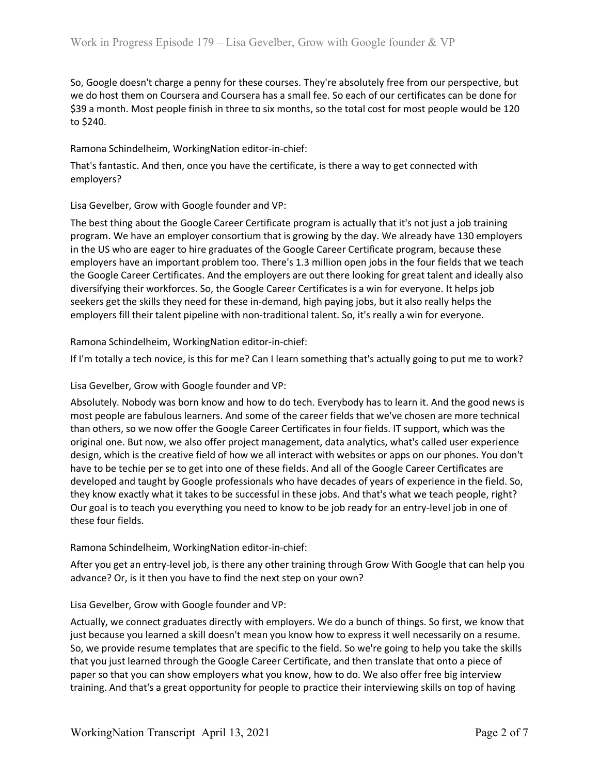So, Google doesn't charge a penny for these courses. They're absolutely free from our perspective, but we do host them on Coursera and Coursera has a small fee. So each of our certificates can be done for \$39 a month. Most people finish in three to six months, so the total cost for most people would be 120 to \$240.

Ramona Schindelheim, WorkingNation editor-in-chief:

That's fantastic. And then, once you have the certificate, is there a way to get connected with employers?

Lisa Gevelber, Grow with Google founder and VP:

The best thing about the Google Career Certificate program is actually that it's not just a job training program. We have an employer consortium that is growing by the day. We already have 130 employers in the US who are eager to hire graduates of the Google Career Certificate program, because these employers have an important problem too. There's 1.3 million open jobs in the four fields that we teach the Google Career Certificates. And the employers are out there looking for great talent and ideally also diversifying their workforces. So, the Google Career Certificates is a win for everyone. It helps job seekers get the skills they need for these in-demand, high paying jobs, but it also really helps the employers fill their talent pipeline with non-traditional talent. So, it's really a win for everyone.

Ramona Schindelheim, WorkingNation editor-in-chief:

If I'm totally a tech novice, is this for me? Can I learn something that's actually going to put me to work?

Lisa Gevelber, Grow with Google founder and VP:

Absolutely. Nobody was born know and how to do tech. Everybody has to learn it. And the good news is most people are fabulous learners. And some of the career fields that we've chosen are more technical than others, so we now offer the Google Career Certificates in four fields. IT support, which was the original one. But now, we also offer project management, data analytics, what's called user experience design, which is the creative field of how we all interact with websites or apps on our phones. You don't have to be techie per se to get into one of these fields. And all of the Google Career Certificates are developed and taught by Google professionals who have decades of years of experience in the field. So, they know exactly what it takes to be successful in these jobs. And that's what we teach people, right? Our goal is to teach you everything you need to know to be job ready for an entry-level job in one of these four fields.

Ramona Schindelheim, WorkingNation editor-in-chief:

After you get an entry-level job, is there any other training through Grow With Google that can help you advance? Or, is it then you have to find the next step on your own?

#### Lisa Gevelber, Grow with Google founder and VP:

Actually, we connect graduates directly with employers. We do a bunch of things. So first, we know that just because you learned a skill doesn't mean you know how to express it well necessarily on a resume. So, we provide resume templates that are specific to the field. So we're going to help you take the skills that you just learned through the Google Career Certificate, and then translate that onto a piece of paper so that you can show employers what you know, how to do. We also offer free big interview training. And that's a great opportunity for people to practice their interviewing skills on top of having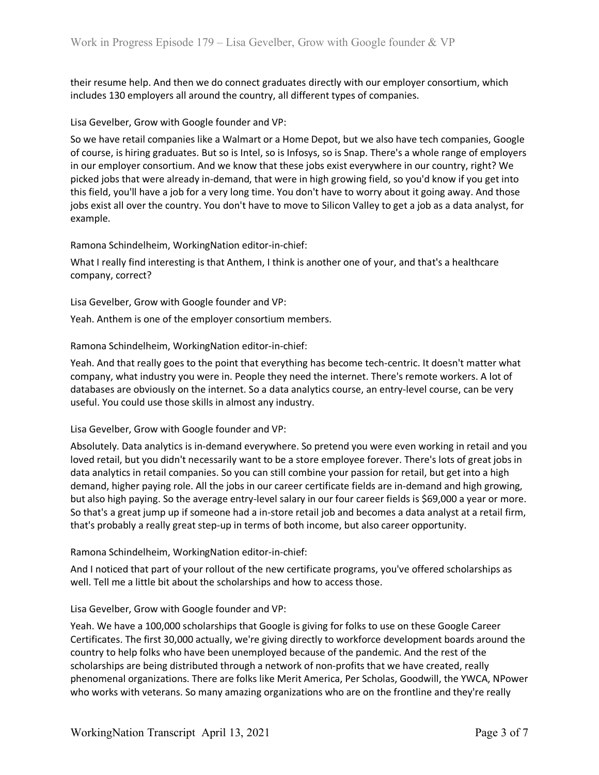their resume help. And then we do connect graduates directly with our employer consortium, which includes 130 employers all around the country, all different types of companies.

## Lisa Gevelber, Grow with Google founder and VP:

So we have retail companies like a Walmart or a Home Depot, but we also have tech companies, Google of course, is hiring graduates. But so is Intel, so is Infosys, so is Snap. There's a whole range of employers in our employer consortium. And we know that these jobs exist everywhere in our country, right? We picked jobs that were already in-demand, that were in high growing field, so you'd know if you get into this field, you'll have a job for a very long time. You don't have to worry about it going away. And those jobs exist all over the country. You don't have to move to Silicon Valley to get a job as a data analyst, for example.

## Ramona Schindelheim, WorkingNation editor-in-chief:

What I really find interesting is that Anthem, I think is another one of your, and that's a healthcare company, correct?

Lisa Gevelber, Grow with Google founder and VP:

Yeah. Anthem is one of the employer consortium members.

## Ramona Schindelheim, WorkingNation editor-in-chief:

Yeah. And that really goes to the point that everything has become tech-centric. It doesn't matter what company, what industry you were in. People they need the internet. There's remote workers. A lot of databases are obviously on the internet. So a data analytics course, an entry-level course, can be very useful. You could use those skills in almost any industry.

#### Lisa Gevelber, Grow with Google founder and VP:

Absolutely. Data analytics is in-demand everywhere. So pretend you were even working in retail and you loved retail, but you didn't necessarily want to be a store employee forever. There's lots of great jobs in data analytics in retail companies. So you can still combine your passion for retail, but get into a high demand, higher paying role. All the jobs in our career certificate fields are in-demand and high growing, but also high paying. So the average entry-level salary in our four career fields is \$69,000 a year or more. So that's a great jump up if someone had a in-store retail job and becomes a data analyst at a retail firm, that's probably a really great step-up in terms of both income, but also career opportunity.

#### Ramona Schindelheim, WorkingNation editor-in-chief:

And I noticed that part of your rollout of the new certificate programs, you've offered scholarships as well. Tell me a little bit about the scholarships and how to access those.

#### Lisa Gevelber, Grow with Google founder and VP:

Yeah. We have a 100,000 scholarships that Google is giving for folks to use on these Google Career Certificates. The first 30,000 actually, we're giving directly to workforce development boards around the country to help folks who have been unemployed because of the pandemic. And the rest of the scholarships are being distributed through a network of non-profits that we have created, really phenomenal organizations. There are folks like Merit America, Per Scholas, Goodwill, the YWCA, NPower who works with veterans. So many amazing organizations who are on the frontline and they're really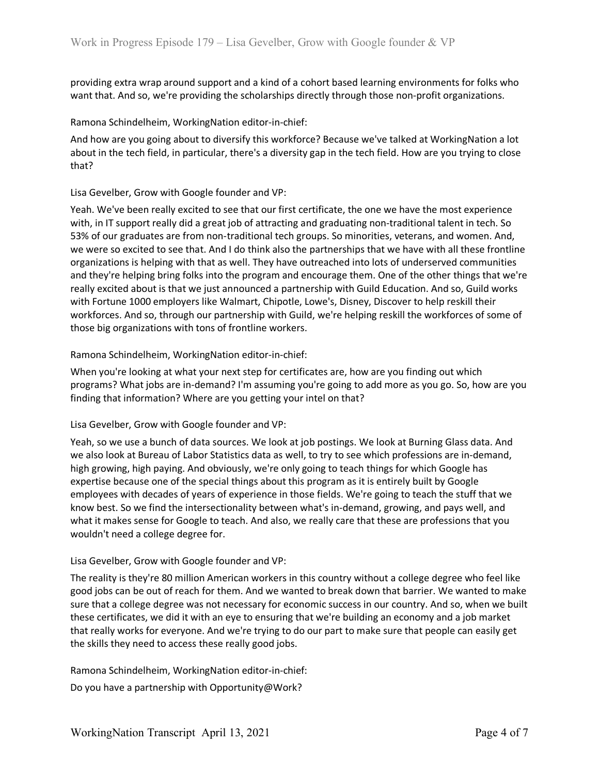providing extra wrap around support and a kind of a cohort based learning environments for folks who want that. And so, we're providing the scholarships directly through those non-profit organizations.

## Ramona Schindelheim, WorkingNation editor-in-chief:

And how are you going about to diversify this workforce? Because we've talked at WorkingNation a lot about in the tech field, in particular, there's a diversity gap in the tech field. How are you trying to close that?

## Lisa Gevelber, Grow with Google founder and VP:

Yeah. We've been really excited to see that our first certificate, the one we have the most experience with, in IT support really did a great job of attracting and graduating non-traditional talent in tech. So 53% of our graduates are from non-traditional tech groups. So minorities, veterans, and women. And, we were so excited to see that. And I do think also the partnerships that we have with all these frontline organizations is helping with that as well. They have outreached into lots of underserved communities and they're helping bring folks into the program and encourage them. One of the other things that we're really excited about is that we just announced a partnership with Guild Education. And so, Guild works with Fortune 1000 employers like Walmart, Chipotle, Lowe's, Disney, Discover to help reskill their workforces. And so, through our partnership with Guild, we're helping reskill the workforces of some of those big organizations with tons of frontline workers.

## Ramona Schindelheim, WorkingNation editor-in-chief:

When you're looking at what your next step for certificates are, how are you finding out which programs? What jobs are in-demand? I'm assuming you're going to add more as you go. So, how are you finding that information? Where are you getting your intel on that?

# Lisa Gevelber, Grow with Google founder and VP:

Yeah, so we use a bunch of data sources. We look at job postings. We look at Burning Glass data. And we also look at Bureau of Labor Statistics data as well, to try to see which professions are in-demand, high growing, high paying. And obviously, we're only going to teach things for which Google has expertise because one of the special things about this program as it is entirely built by Google employees with decades of years of experience in those fields. We're going to teach the stuff that we know best. So we find the intersectionality between what's in-demand, growing, and pays well, and what it makes sense for Google to teach. And also, we really care that these are professions that you wouldn't need a college degree for.

#### Lisa Gevelber, Grow with Google founder and VP:

The reality is they're 80 million American workers in this country without a college degree who feel like good jobs can be out of reach for them. And we wanted to break down that barrier. We wanted to make sure that a college degree was not necessary for economic success in our country. And so, when we built these certificates, we did it with an eye to ensuring that we're building an economy and a job market that really works for everyone. And we're trying to do our part to make sure that people can easily get the skills they need to access these really good jobs.

Ramona Schindelheim, WorkingNation editor-in-chief:

Do you have a partnership with Opportunity@Work?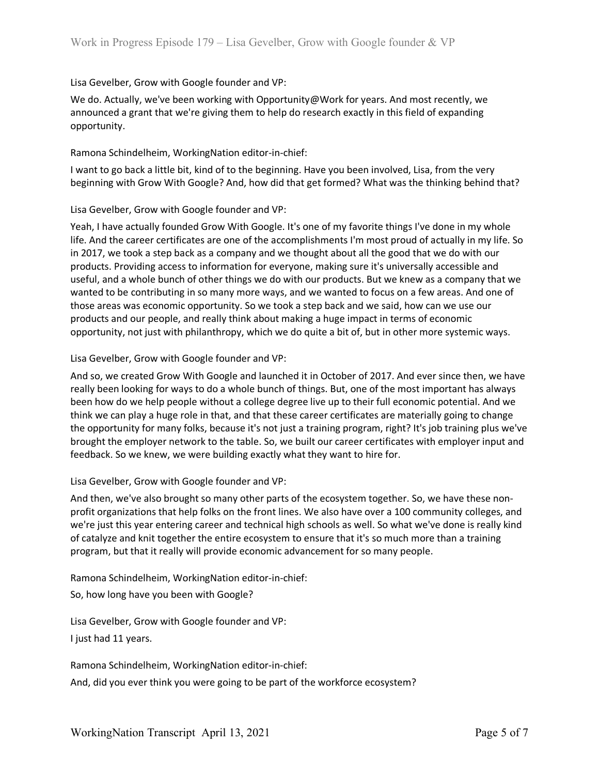# Lisa Gevelber, Grow with Google founder and VP:

We do. Actually, we've been working with Opportunity@Work for years. And most recently, we announced a grant that we're giving them to help do research exactly in this field of expanding opportunity.

## Ramona Schindelheim, WorkingNation editor-in-chief:

I want to go back a little bit, kind of to the beginning. Have you been involved, Lisa, from the very beginning with Grow With Google? And, how did that get formed? What was the thinking behind that?

## Lisa Gevelber, Grow with Google founder and VP:

Yeah, I have actually founded Grow With Google. It's one of my favorite things I've done in my whole life. And the career certificates are one of the accomplishments I'm most proud of actually in my life. So in 2017, we took a step back as a company and we thought about all the good that we do with our products. Providing access to information for everyone, making sure it's universally accessible and useful, and a whole bunch of other things we do with our products. But we knew as a company that we wanted to be contributing in so many more ways, and we wanted to focus on a few areas. And one of those areas was economic opportunity. So we took a step back and we said, how can we use our products and our people, and really think about making a huge impact in terms of economic opportunity, not just with philanthropy, which we do quite a bit of, but in other more systemic ways.

## Lisa Gevelber, Grow with Google founder and VP:

And so, we created Grow With Google and launched it in October of 2017. And ever since then, we have really been looking for ways to do a whole bunch of things. But, one of the most important has always been how do we help people without a college degree live up to their full economic potential. And we think we can play a huge role in that, and that these career certificates are materially going to change the opportunity for many folks, because it's not just a training program, right? It's job training plus we've brought the employer network to the table. So, we built our career certificates with employer input and feedback. So we knew, we were building exactly what they want to hire for.

#### Lisa Gevelber, Grow with Google founder and VP:

And then, we've also brought so many other parts of the ecosystem together. So, we have these nonprofit organizations that help folks on the front lines. We also have over a 100 community colleges, and we're just this year entering career and technical high schools as well. So what we've done is really kind of catalyze and knit together the entire ecosystem to ensure that it's so much more than a training program, but that it really will provide economic advancement for so many people.

Ramona Schindelheim, WorkingNation editor-in-chief:

So, how long have you been with Google?

Lisa Gevelber, Grow with Google founder and VP: I just had 11 years.

Ramona Schindelheim, WorkingNation editor-in-chief: And, did you ever think you were going to be part of the workforce ecosystem?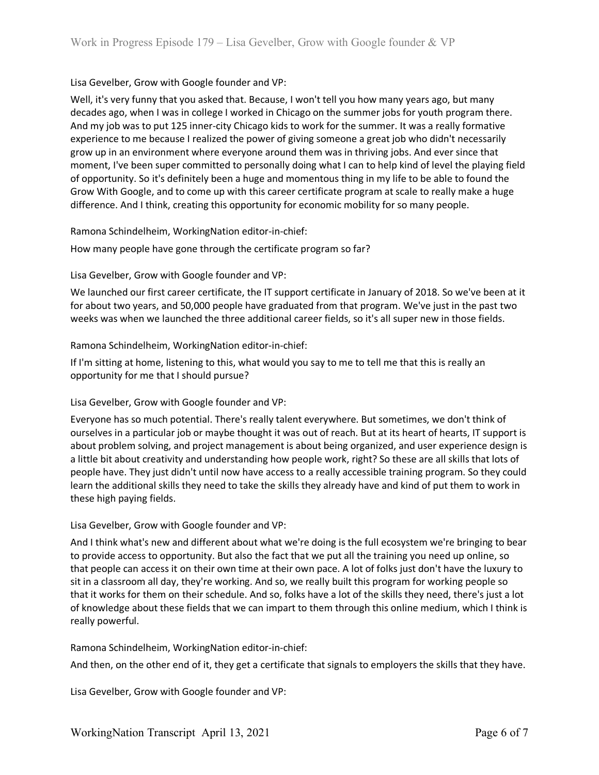# Lisa Gevelber, Grow with Google founder and VP:

Well, it's very funny that you asked that. Because, I won't tell you how many years ago, but many decades ago, when I was in college I worked in Chicago on the summer jobs for youth program there. And my job was to put 125 inner-city Chicago kids to work for the summer. It was a really formative experience to me because I realized the power of giving someone a great job who didn't necessarily grow up in an environment where everyone around them was in thriving jobs. And ever since that moment, I've been super committed to personally doing what I can to help kind of level the playing field of opportunity. So it's definitely been a huge and momentous thing in my life to be able to found the Grow With Google, and to come up with this career certificate program at scale to really make a huge difference. And I think, creating this opportunity for economic mobility for so many people.

Ramona Schindelheim, WorkingNation editor-in-chief:

How many people have gone through the certificate program so far?

Lisa Gevelber, Grow with Google founder and VP:

We launched our first career certificate, the IT support certificate in January of 2018. So we've been at it for about two years, and 50,000 people have graduated from that program. We've just in the past two weeks was when we launched the three additional career fields, so it's all super new in those fields.

Ramona Schindelheim, WorkingNation editor-in-chief:

If I'm sitting at home, listening to this, what would you say to me to tell me that this is really an opportunity for me that I should pursue?

#### Lisa Gevelber, Grow with Google founder and VP:

Everyone has so much potential. There's really talent everywhere. But sometimes, we don't think of ourselves in a particular job or maybe thought it was out of reach. But at its heart of hearts, IT support is about problem solving, and project management is about being organized, and user experience design is a little bit about creativity and understanding how people work, right? So these are all skills that lots of people have. They just didn't until now have access to a really accessible training program. So they could learn the additional skills they need to take the skills they already have and kind of put them to work in these high paying fields.

Lisa Gevelber, Grow with Google founder and VP:

And I think what's new and different about what we're doing is the full ecosystem we're bringing to bear to provide access to opportunity. But also the fact that we put all the training you need up online, so that people can access it on their own time at their own pace. A lot of folks just don't have the luxury to sit in a classroom all day, they're working. And so, we really built this program for working people so that it works for them on their schedule. And so, folks have a lot of the skills they need, there's just a lot of knowledge about these fields that we can impart to them through this online medium, which I think is really powerful.

Ramona Schindelheim, WorkingNation editor-in-chief:

And then, on the other end of it, they get a certificate that signals to employers the skills that they have.

Lisa Gevelber, Grow with Google founder and VP: